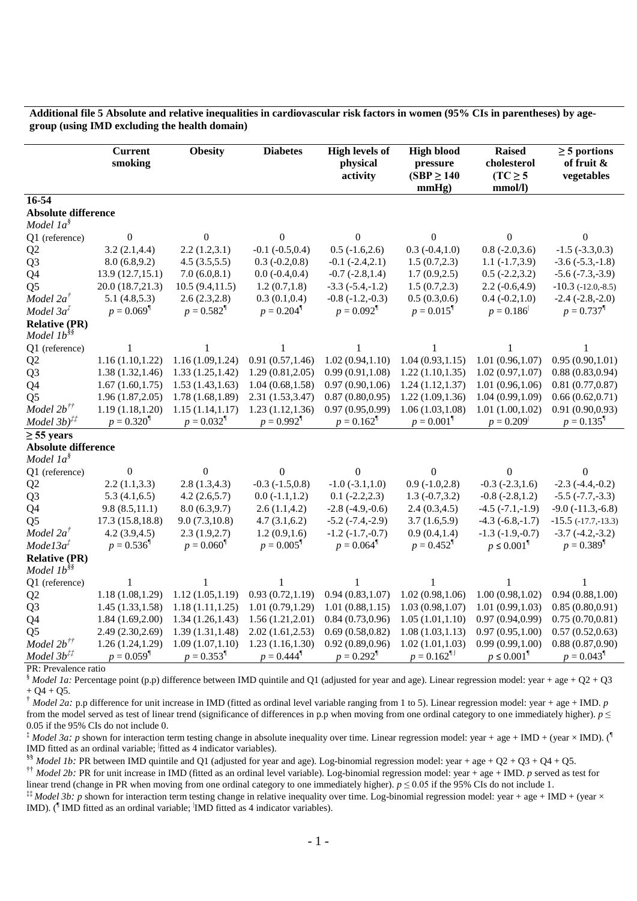## **Additional file 5 Absolute and relative inequalities in cardiovascular risk factors in women (95% CIs in parentheses) by agegroup (using IMD excluding the health domain)**

|                                                        | <b>Current</b><br>smoking | <b>Obesity</b>           | <b>Diabetes</b>          | <b>High levels of</b><br>physical<br>activity | <b>High blood</b><br>pressure<br>$(SBP \ge 140$<br>mmHg) | <b>Raised</b><br>cholesterol<br>$(TC \geq 5$<br>mmol/l) | $\geq$ 5 portions<br>of fruit &<br>vegetables |
|--------------------------------------------------------|---------------------------|--------------------------|--------------------------|-----------------------------------------------|----------------------------------------------------------|---------------------------------------------------------|-----------------------------------------------|
| $16 - 54$                                              |                           |                          |                          |                                               |                                                          |                                                         |                                               |
| <b>Absolute difference</b>                             |                           |                          |                          |                                               |                                                          |                                                         |                                               |
| Model $1a§$                                            |                           |                          |                          |                                               |                                                          |                                                         |                                               |
| Q1 (reference)                                         | $\mathbf{0}$              | $\Omega$                 | 0                        | $\Omega$                                      | $\Omega$                                                 | $\Omega$                                                | 0                                             |
| Q <sub>2</sub>                                         | 3.2(2.1, 4.4)             | 2.2(1.2,3.1)             | $-0.1$ $(-0.5, 0.4)$     | $0.5$ $(-1.6,2.6)$                            | $0.3(-0.4,1.0)$                                          | $0.8(-2.0, 3.6)$                                        | $-1.5$ $(-3.3,0.3)$                           |
| Q <sub>3</sub>                                         | 8.0(6.8, 9.2)             | 4.5(3.5,5.5)             | $0.3(-0.2,0.8)$          | $-0.1$ $(-2.4,2.1)$                           | 1.5(0.7, 2.3)                                            | $1.1(-1.7,3.9)$                                         | $-3.6(-5.3,-1.8)$                             |
| Q4                                                     | 13.9(12.7,15.1)           | 7.0(6.0, 8.1)            | $0.0 (-0.4, 0.4)$        | $-0.7$ $(-2.8,1.4)$                           | 1.7(0.9, 2.5)                                            | $0.5$ ( $-2.2,3.2$ )                                    | $-5.6$ $(-7.3,-3.9)$                          |
| Q <sub>5</sub>                                         | 20.0 (18.7,21.3)          | 10.5(9.4, 11.5)          | 1.2(0.7, 1.8)            | $-3.3$ $(-5.4,-1.2)$                          | 1.5(0.7, 2.3)                                            | $2.2(-0.6, 4.9)$                                        | $-10.3$ $(-12.0,-8.5)$                        |
| Model $2a^{\dagger}$                                   | 5.1(4.8,5.3)              | 2.6(2.3, 2.8)            | 0.3(0.1, 0.4)            | $-0.8$ $(-1.2,-0.3)$                          | 0.5(0.3,0.6)                                             | $0.4 (-0.2, 1.0)$                                       | $-2.4$ $(-2.8,-2.0)$                          |
| Model 3a <sup>‡</sup>                                  | $p = 0.069$ <sup>¶</sup>  | $p = 0.582$ <sup>¶</sup> | $p = 0.204$ <sup>¶</sup> | $p = 0.092$ <sup>¶</sup>                      | $p = 0.015$ <sup>¶</sup>                                 | $p = 0.186$                                             | $p = 0.737$ <sup>¶</sup>                      |
| <b>Relative (PR)</b>                                   |                           |                          |                          |                                               |                                                          |                                                         |                                               |
| Model 1b <sup>§§</sup>                                 |                           |                          |                          |                                               |                                                          |                                                         |                                               |
| Q1 (reference)                                         | 1                         | 1                        | 1                        | 1                                             | 1                                                        |                                                         | 1                                             |
| Q <sub>2</sub>                                         | 1.16(1.10, 1.22)          | 1.16(1.09, 1.24)         | 0.91(0.57, 1.46)         | 1.02(0.94, 1.10)                              | 1.04(0.93, 1.15)                                         | 1.01(0.96, 1.07)                                        | 0.95(0.90, 1.01)                              |
| Q <sub>3</sub>                                         | 1.38(1.32, 1.46)          | 1.33(1.25, 1.42)         | 1.29(0.81, 2.05)         | 0.99(0.91, 1.08)                              | 1.22(1.10, 1.35)                                         | 1.02(0.97, 1.07)                                        | 0.88(0.83, 0.94)                              |
| Q4                                                     | 1.67(1.60, 1.75)          | 1.53(1.43, 1.63)         | 1.04(0.68, 1.58)         | 0.97(0.90, 1.06)                              | 1.24(1.12, 1.37)                                         | 1.01(0.96, 1.06)                                        | 0.81(0.77, 0.87)                              |
| Q <sub>5</sub>                                         | 1.96(1.87, 2.05)          | 1.78(1.68, 1.89)         | 2.31(1.53, 3.47)         | 0.87(0.80, 0.95)                              | 1.22(1.09, 1.36)                                         | 1.04(0.99, 1.09)                                        | 0.66(0.62, 0.71)                              |
| Model $2b^{\dagger\dagger}$                            | 1.19(1.18, 1.20)          | 1.15(1.14, 1.17)         | 1.23(1.12, 1.36)         | 0.97(0.95, 0.99)                              | 1.06(1.03, 1.08)                                         | 1.01(1.00, 1.02)                                        | 0.91(0.90, 0.93)                              |
| Model $3b$ <sup><math>\ddag</math><math>4</math></sup> | $p = 0.320$ <sup>1</sup>  | $p = 0.032$ <sup>¶</sup> | $p = 0.992$ <sup>¶</sup> | $p = 0.162$ <sup>1</sup>                      | $p = 0.001$ <sup>¶</sup>                                 | $p = 0.209$                                             | $p = 0.135$ <sup>1</sup>                      |
| $\geq$ 55 years                                        |                           |                          |                          |                                               |                                                          |                                                         |                                               |
| <b>Absolute difference</b>                             |                           |                          |                          |                                               |                                                          |                                                         |                                               |
| Model $1a§$                                            |                           |                          |                          |                                               |                                                          |                                                         |                                               |
| Q1 (reference)                                         | $\overline{0}$            | $\theta$                 | 0                        | $\theta$                                      | 0                                                        |                                                         | 0                                             |
| Q <sub>2</sub>                                         | 2.2(1.1, 3.3)             | 2.8(1.3, 4.3)            | $-0.3$ $(-1.5,0.8)$      | $-1.0$ $(-3.1,1.0)$                           | $0.9(-1.0, 2.8)$                                         | $-0.3$ $(-2.3,1.6)$                                     | $-2.3$ $(-4.4,-0.2)$                          |
| Q <sub>3</sub>                                         | 5.3(4.1,6.5)              | 4.2(2.6,5.7)             | $0.0 (-1.1, 1.2)$        | $0.1 (-2.2, 2.3)$                             | $1.3(-0.7, 3.2)$                                         | $-0.8$ $(-2.8, 1.2)$                                    | $-5.5$ $(-7.7,-3.3)$                          |
| Q4                                                     | 9.8(8.5,11.1)             | 8.0(6.3, 9.7)            | 2.6(1.1, 4.2)            | $-2.8$ $(-4.9,-0.6)$                          | 2.4(0.3, 4.5)                                            | $-4.5$ $(-7.1,-1.9)$                                    | $-9.0$ $(-11.3,-6.8)$                         |
| Q <sub>5</sub>                                         | 17.3(15.8, 18.8)          | 9.0(7.3,10.8)            | 4.7(3.1,6.2)             | $-5.2$ $(-7.4,-2.9)$                          | 3.7(1.6,5.9)                                             | $-4.3(-6.8,-1.7)$                                       | $-15.5$ $(-17.7,-13.3)$                       |
| Model 2a <sup>†</sup>                                  | 4.2(3.9, 4.5)             | 2.3(1.9,2.7)             | 1.2(0.9,1.6)             | $-1.2$ $(-1.7,-0.7)$                          | 0.9(0.4, 1.4)                                            | $-1.3$ $(-1.9,-0.7)$                                    | $-3.7$ $(-4.2,-3.2)$                          |
| Model3a <sup>†</sup>                                   | $p = 0.536$ <sup>1</sup>  | $p = 0.060$ <sup>¶</sup> | $p = 0.005$ <sup>¶</sup> | $p = 0.064$ <sup>¶</sup>                      | $p = 0.452$ <sup>¶</sup>                                 | $p \leq 0.001^{\frac{1}{2}}$                            | $p = 0.389$ <sup>1</sup>                      |
| <b>Relative (PR)</b>                                   |                           |                          |                          |                                               |                                                          |                                                         |                                               |
| Model 1b <sup>§§</sup>                                 |                           |                          |                          |                                               |                                                          |                                                         |                                               |
| Q1 (reference)                                         |                           |                          |                          |                                               |                                                          |                                                         |                                               |
| Q <sub>2</sub>                                         | 1.18(1.08, 1.29)          | 1.12(1.05, 1.19)         | 0.93(0.72, 1.19)         | 0.94(0.83, 1.07)                              | 1.02(0.98, 1.06)                                         | 1.00(0.98, 1.02)                                        | 0.94(0.88, 1.00)                              |
| Q <sub>3</sub>                                         | 1.45(1.33, 1.58)          | 1.18(1.11, 1.25)         | 1.01(0.79, 1.29)         | 1.01(0.88, 1.15)                              | 1.03(0.98, 1.07)                                         | 1.01(0.99, 1.03)                                        | 0.85(0.80, 0.91)                              |
| Q4                                                     | 1.84(1.69, 2.00)          | 1.34(1.26, 1.43)         | 1.56(1.21, 2.01)         | 0.84(0.73, 0.96)                              | 1.05(1.01, 1.10)                                         | 0.97(0.94, 0.99)                                        | 0.75(0.70, 0.81)                              |
| Q <sub>5</sub>                                         | 2.49 (2.30, 2.69)         | 1.39(1.31, 1.48)         | 2.02(1.61, 2.53)         | 0.69(0.58, 0.82)                              | 1.08(1.03, 1.13)                                         | 0.97(0.95, 1.00)                                        | 0.57(0.52, 0.63)                              |
| Model $2b^{\dagger\dagger}$                            | 1.26(1.24, 1.29)          | 1.09(1.07, 1.10)         | 1.23(1.16, 1.30)         | 0.92(0.89, 0.96)                              | 1.02(1.01, 1.03)                                         | 0.99(0.99, 1.00)                                        | 0.88(0.87, 0.90)                              |
| Model $3b^{#}$                                         | $p = 0.059$ <sup>¶</sup>  | $p = 0.353$ <sup>1</sup> | $p = 0.444$ <sup>¶</sup> | $p = 0.292$ <sup>¶</sup>                      | $p = 0.162$ <sup>[1]</sup>                               | $p \leq 0.001^{\frac{1}{2}}$                            | $p = 0.043$ <sup>¶</sup>                      |

PR: Prevalence ratio

*Model 1a:* Percentage point (p.p) difference between IMD quintile and Q1 (adjusted for year and age). Linear regression model: year + age + Q2 + Q3  $+$  Q4 + Q5.

† *Model 2a:* p.p difference for unit increase in IMD (fitted as ordinal level variable ranging from 1 to 5). Linear regression model: year + age + IMD. *p* from the model served as test of linear trend (significance of differences in p.p when moving from one ordinal category to one immediately higher).  $p \leq$ 0.05 if the 95% CIs do not include 0.

 $\frac{4}{3}$  *Model 3a*: *p* shown for interaction term testing change in absolute inequality over time. Linear regression model: year + age + IMD + (year × IMD). ( IMD fitted as an ordinal variable; fitted as 4 indicator variables).

<sup>§§</sup> *Model 1b:* PR between IMD quintile and Q1 (adjusted for year and age). Log-binomial regression model: year + age + Q2 + Q3 + Q4 + Q5.

†† *Model 2b:* PR for unit increase in IMD (fitted as an ordinal level variable). Log-binomial regression model: year + age + IMD. *p* served as test for linear trend (change in PR when moving from one ordinal category to one immediately higher).  $p \le 0.05$  if the 95% CIs do not include 1.

<sup>‡‡</sup> *Model 3b*; *p* shown for interaction term testing change in relative inequality over time. Log-binomial regression model: year + age + IMD + (year  $\times$ IMD). (<sup>1</sup> IMD fitted as an ordinal variable; IMD fitted as 4 indicator variables).